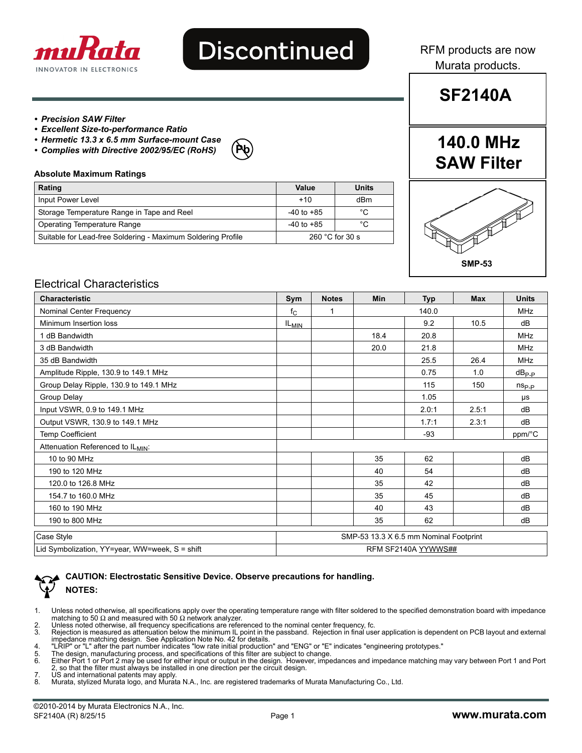

# **Discontinued**

RFM products are now Murata products.

**SF2140A**

#### *• Precision SAW Filter*

- *Excellent Size-to-performance Ratio*
- *Hermetic 13.3 x 6.5 mm Surface-mount Case*
- *Complies with Directive 2002/95/EC (RoHS)*

## **Pb**

#### **Absolute Maximum Ratings**

| Rating                                                       | Value                     | Units |  |
|--------------------------------------------------------------|---------------------------|-------|--|
| Input Power Level                                            | $+10$                     | dBm   |  |
| Storage Temperature Range in Tape and Reel                   | $-40$ to $+85$            | °C    |  |
| Operating Temperature Range                                  | $-40$ to $+85$            | °C    |  |
| Suitable for Lead-free Soldering - Maximum Soldering Profile | 260 $^{\circ}$ C for 30 s |       |  |

### **140.0 MHz SAW Filter**



#### Electrical Characteristics

| <b>Characteristic</b>                          | Sym                                    | <b>Notes</b> | <b>Min</b> | <b>Typ</b>          | <b>Max</b> | <b>Units</b>   |
|------------------------------------------------|----------------------------------------|--------------|------------|---------------------|------------|----------------|
| Nominal Center Frequency                       | $f_{C}$                                | 1            |            | 140.0               |            | <b>MHz</b>     |
| Minimum Insertion loss                         | $IL_{MIN}$                             |              |            | 9.2                 | 10.5       | dB             |
| 1 dB Bandwidth                                 |                                        |              | 18.4       | 20.8                |            | <b>MHz</b>     |
| 3 dB Bandwidth                                 |                                        |              | 20.0       | 21.8                |            | <b>MHz</b>     |
| 35 dB Bandwidth                                |                                        |              |            | 25.5                | 26.4       | <b>MHz</b>     |
| Amplitude Ripple, 130.9 to 149.1 MHz           |                                        |              |            | 0.75                | 1.0        | $dB_{P-P}$     |
| Group Delay Ripple, 130.9 to 149.1 MHz         |                                        |              |            | 115                 | 150        | $n_{\rm Sp,p}$ |
| Group Delay                                    |                                        |              |            | 1.05                |            | μs             |
| Input VSWR, 0.9 to 149.1 MHz                   |                                        |              |            | 2.0:1               | 2.5:1      | dB             |
| Output VSWR, 130.9 to 149.1 MHz                |                                        |              |            | 1.7:1               | 2.3:1      | dB             |
| <b>Temp Coefficient</b>                        |                                        |              |            | $-93$               |            | ppm/°C         |
| Attenuation Referenced to ILMIN:               |                                        |              |            |                     |            |                |
| 10 to 90 MHz                                   |                                        |              | 35         | 62                  |            | dB             |
| 190 to 120 MHz                                 |                                        |              | 40         | 54                  |            | dB             |
| 120.0 to 126.8 MHz                             |                                        |              | 35         | 42                  |            | dB             |
| 154.7 to 160.0 MHz                             |                                        |              | 35         | 45                  |            | dB             |
| 160 to 190 MHz                                 |                                        |              | 40         | 43                  |            | dB             |
| 190 to 800 MHz                                 |                                        |              | 35         | 62                  |            | dB             |
| Case Style                                     | SMP-53 13.3 X 6.5 mm Nominal Footprint |              |            |                     |            |                |
| Lid Symbolization, YY=year, WW=week, S = shift |                                        |              |            | RFM SF2140A YYWWS## |            |                |

| CAUTION: Electrostatic Sensitive Device. Observe precautions for handling. |
|----------------------------------------------------------------------------|
| $\blacklozenge$ NOTES:                                                     |

- 1. Unless noted otherwise, all specifications apply over the operating temperature range with filter soldered to the specified demonstration board with impedance<br>matching to 50 Ω and measured with 50 Ω network analyzer.
- 2. Unless noted otherwise, all frequency specifications are referenced to the nominal center frequency, fc.<br>3. Rejection is measured as attenuation below the minimum IL point in the passband. Rejection in final use Rejection is measured as attenuation below the minimum IL point in the passband. Rejection in final user application is dependent on PCB layout and external
- 
- 
- impedance matching design. See Application Note No. 42 for details.<br>4. "LRIP" or "L" after the part number indicates "low rate initial production" and "ENG" or "E" indicates "engineering prototypes."<br>5. The design, manu
- 7. US and international patents may apply.
- 8. Murata, stylized Murata logo, and Murata N.A., Inc. are registered trademarks of Murata Manufacturing Co., Ltd.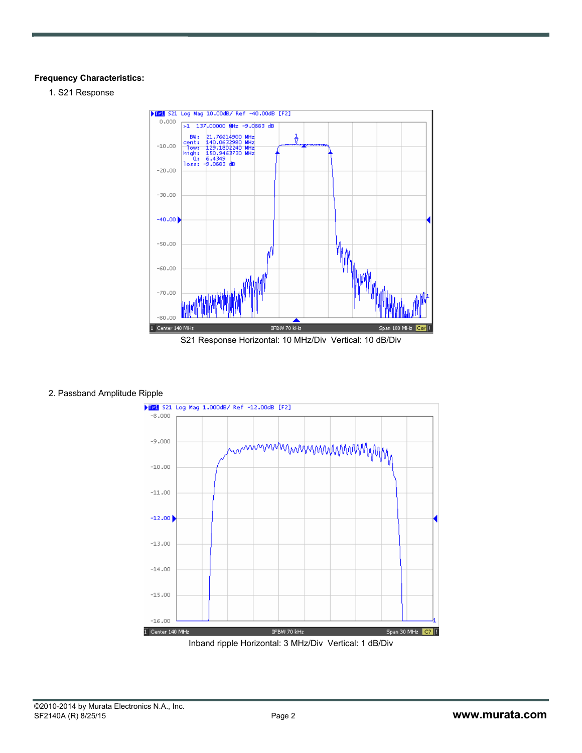#### **Frequency Characteristics:**

1. S21 Response



#### 2. Passband Amplitude Ripple

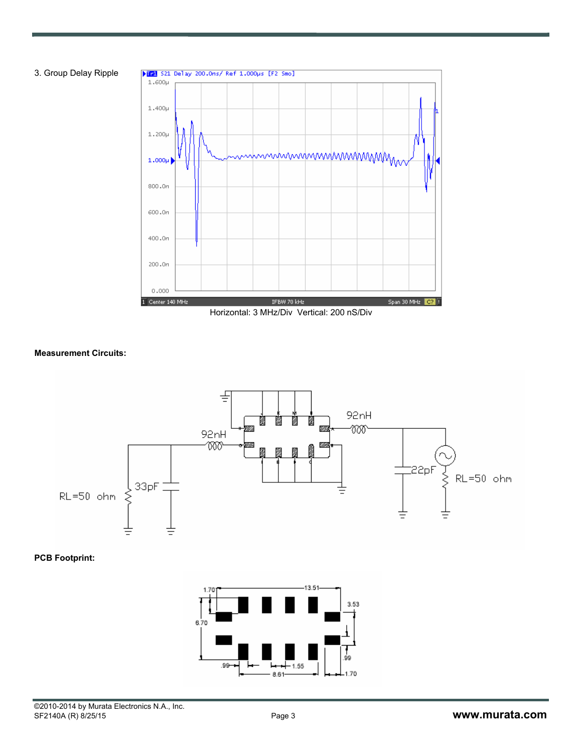



#### **Measurement Circuits:**



#### **PCB Footprint:**

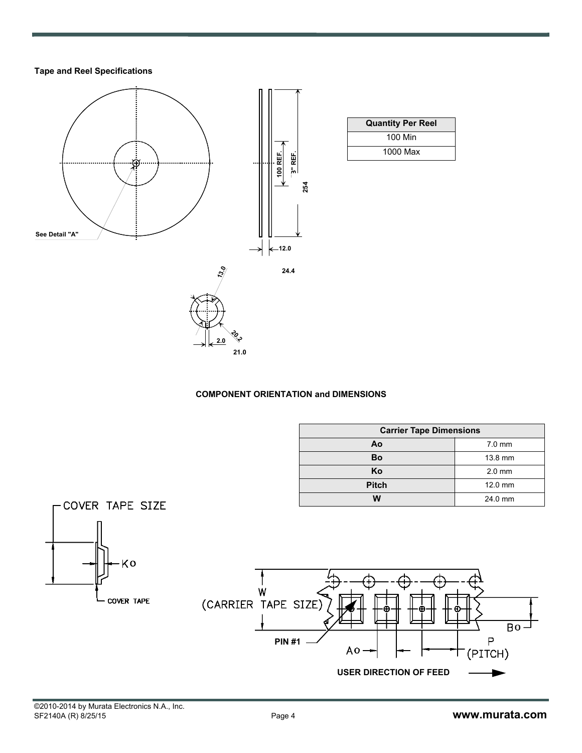#### **Tape and Reel Specifications**



#### **COMPONENT ORIENTATION and DIMENSIONS**

| <b>Carrier Tape Dimensions</b> |          |  |  |  |
|--------------------------------|----------|--|--|--|
| Ao                             | $7.0$ mm |  |  |  |
| Bo                             | 13.8 mm  |  |  |  |
| Κo                             | $2.0$ mm |  |  |  |
| <b>Pitch</b>                   | 12.0 mm  |  |  |  |
| w                              | 24.0 mm  |  |  |  |

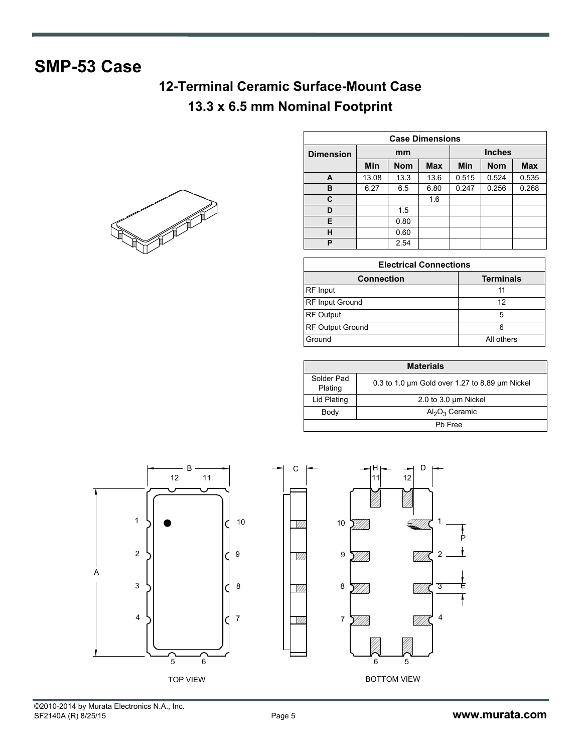### **SMP-53 Case**

### **12-Terminal Ceramic Surface-Mount Case 13.3 x 6.5 mm Nominal Footprint**



| <b>Case Dimensions</b> |       |            |            |               |            |            |  |
|------------------------|-------|------------|------------|---------------|------------|------------|--|
| <b>Dimension</b>       | mm    |            |            | <b>Inches</b> |            |            |  |
|                        | Min   | <b>Nom</b> | <b>Max</b> | <b>Min</b>    | <b>Nom</b> | <b>Max</b> |  |
| A                      | 13.08 | 13.3       | 13.6       | 0.515         | 0.524      | 0.535      |  |
| в                      | 6.27  | 6.5        | 6.80       | 0.247         | 0.256      | 0.268      |  |
| C                      |       |            | 1.6        |               |            |            |  |
| D                      |       | 1.5        |            |               |            |            |  |
| E                      |       | 0.80       |            |               |            |            |  |
| н                      |       | 0.60       |            |               |            |            |  |
| P                      |       | 2.54       |            |               |            |            |  |

| <b>Electrical Connections</b> |                  |  |  |  |
|-------------------------------|------------------|--|--|--|
| <b>Connection</b>             | <b>Terminals</b> |  |  |  |
| RF Input                      |                  |  |  |  |
| RF Input Ground               | 12               |  |  |  |
| RF Output                     |                  |  |  |  |
| RF Output Ground              |                  |  |  |  |
| Ground                        | All others       |  |  |  |

| <b>Materials</b>      |                                                          |  |  |  |
|-----------------------|----------------------------------------------------------|--|--|--|
| Solder Pad<br>Plating | 0.3 to 1.0 $\mu$ m Gold over 1.27 to 8.89 $\mu$ m Nickel |  |  |  |
| Lid Plating           | 2.0 to 3.0 um Nickel                                     |  |  |  |
| Body                  | $Al_2O_3$ Ceramic                                        |  |  |  |
|                       | Ph Free                                                  |  |  |  |